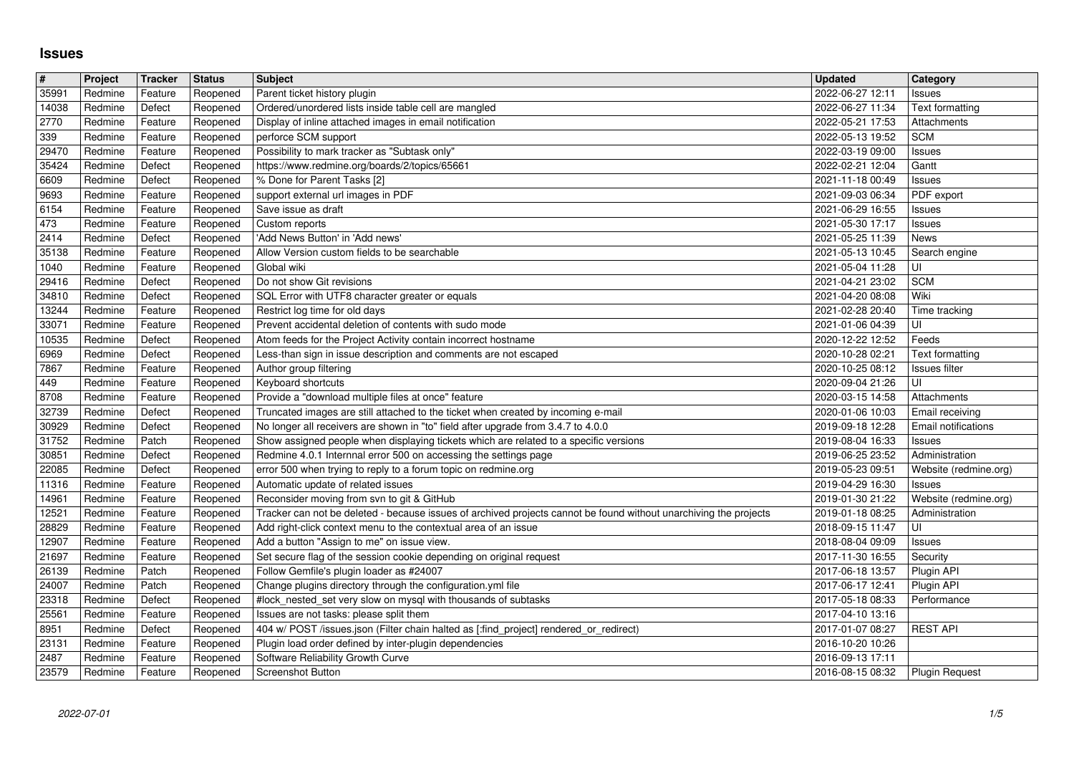## **Issues**

| $\pmb{\sharp}$<br>35991 | Project<br>Redmine | Tracker            | <b>Status</b>        | <b>Subject</b>                                                                                                                                                  | <b>Updated</b>                       | <b>Category</b>                         |
|-------------------------|--------------------|--------------------|----------------------|-----------------------------------------------------------------------------------------------------------------------------------------------------------------|--------------------------------------|-----------------------------------------|
| 14038                   | Redmine            | Feature<br>Defect  | Reopened<br>Reopened | Parent ticket history plugin<br>Ordered/unordered lists inside table cell are mangled                                                                           | 2022-06-27 12:11<br>2022-06-27 11:34 | Issues<br>Text formatting               |
| 2770                    | Redmine            | Feature            | Reopened             | Display of inline attached images in email notification                                                                                                         | 2022-05-21 17:53                     | Attachments                             |
| 339<br>29470            | Redmine<br>Redmine | Feature<br>Feature | Reopened<br>Reopened | perforce SCM support<br>Possibility to mark tracker as "Subtask only"                                                                                           | 2022-05-13 19:52<br>2022-03-19 09:00 | <b>SCM</b><br>Issues                    |
| 35424                   | Redmine            | Defect             | Reopened             | https://www.redmine.org/boards/2/topics/65661                                                                                                                   | 2022-02-21 12:04                     | Gantt                                   |
| 6609<br>9693            | Redmine<br>Redmine | Defect<br>Feature  | Reopened<br>Reopened | % Done for Parent Tasks [2]<br>support external url images in PDF                                                                                               | 2021-11-18 00:49<br>2021-09-03 06:34 | Issues<br>PDF export                    |
| 6154                    | Redmine            | Feature            | Reopened             | Save issue as draft                                                                                                                                             | 2021-06-29 16:55                     | Issues                                  |
| 473<br>2414             | Redmine<br>Redmine | Feature<br>Defect  | Reopened<br>Reopened | Custom reports<br>'Add News Button' in 'Add news'                                                                                                               | 2021-05-30 17:17<br>2021-05-25 11:39 | Issues<br>News                          |
| 35138                   | Redmine            | Feature            | Reopened             | Allow Version custom fields to be searchable                                                                                                                    | 2021-05-13 10:45                     | Search engine                           |
| 1040<br>29416           | Redmine<br>Redmine | Feature<br>Defect  | Reopened<br>Reopened | Global wiki<br>Do not show Git revisions                                                                                                                        | 2021-05-04 11:28<br>2021-04-21 23:02 | luı<br>SCM                              |
| 34810                   | Redmine            | Defect             | Reopened             | SQL Error with UTF8 character greater or equals                                                                                                                 | 2021-04-20 08:08                     | Wiki                                    |
| 13244<br>33071          | Redmine<br>Redmine | Feature<br>Feature | Reopened<br>Reopened | Restrict log time for old days<br>Prevent accidental deletion of contents with sudo mode                                                                        | 2021-02-28 20:40<br>2021-01-06 04:39 | Time tracking<br>UI                     |
| 10535                   | Redmine            | Defect             | Reopened             | Atom feeds for the Project Activity contain incorrect hostname                                                                                                  | 2020-12-22 12:52                     | Feeds                                   |
| 6969<br>7867            | Redmine<br>Redmine | Defect<br>Feature  | Reopened<br>Reopened | Less-than sign in issue description and comments are not escaped<br>Author group filtering                                                                      | 2020-10-28 02:21<br>2020-10-25 08:12 | Text formatting<br>Issues filter        |
| 449                     | Redmine            | Feature            | Reopened             | Keyboard shortcuts                                                                                                                                              | 2020-09-04 21:26                     | UI                                      |
| 8708<br>32739           | Redmine<br>Redmine | Feature<br>Defect  | Reopened<br>Reopened | Provide a "download multiple files at once" feature<br>Truncated images are still attached to the ticket when created by incoming e-mail                        | 2020-03-15 14:58<br>2020-01-06 10:03 | Attachments<br>Email receiving          |
| 30929                   | Redmine            | Defect             | Reopened             | No longer all receivers are shown in "to" field after upgrade from 3.4.7 to 4.0.0                                                                               | 2019-09-18 12:28                     | Email notifications                     |
| 31752<br>30851          | Redmine<br>Redmine | Patch<br>Defect    | Reopened<br>Reopened | Show assigned people when displaying tickets which are related to a specific versions<br>Redmine 4.0.1 Internnal error 500 on accessing the settings page       | 2019-08-04 16:33<br>2019-06-25 23:52 | Issues<br>Administration                |
| 22085                   | Redmine            | Defect             | Reopened             | error 500 when trying to reply to a forum topic on redmine.org                                                                                                  | 2019-05-23 09:51                     | Website (redmine.org)                   |
| 11316                   | Redmine            | Feature            | Reopened             | Automatic update of related issues                                                                                                                              | 2019-04-29 16:30                     | Issues                                  |
| 14961<br>12521          | Redmine<br>Redmine | Feature<br>Feature | Reopened<br>Reopened | Reconsider moving from svn to git & GitHub<br>Tracker can not be deleted - because issues of archived projects cannot be found without unarchiving the projects | 2019-01-30 21:22<br>2019-01-18 08:25 | Website (redmine.org)<br>Administration |
| 28829                   | Redmine            | Feature            | Reopened             | Add right-click context menu to the contextual area of an issue                                                                                                 | 2018-09-15 11:47                     | UI.                                     |
| 12907<br>21697          | Redmine<br>Redmine | Feature<br>Feature | Reopened<br>Reopened | Add a button "Assign to me" on issue view.<br>Set secure flag of the session cookie depending on original request                                               | 2018-08-04 09:09<br>2017-11-30 16:55 | Issues<br>Security                      |
| 26139                   | Redmine            | Patch              | Reopened             | Follow Gemfile's plugin loader as #24007                                                                                                                        | 2017-06-18 13:57                     | Plugin API                              |
| 24007                   | Redmine            | Patch              | Reopened             | Change plugins directory through the configuration.yml file<br>#lock_nested_set very slow on mysql with thousands of subtasks                                   | 2017-06-17 12:41                     | Plugin API                              |
| 23318<br>25561          | Redmine<br>Redmine | Defect<br>Feature  | Reopened<br>Reopened | Issues are not tasks: please split them                                                                                                                         | 2017-05-18 08:33<br>2017-04-10 13:16 | Performance                             |
| 8951                    | Redmine            | Defect             | Reopened             | 404 w/ POST /issues.json (Filter chain halted as [:find_project] rendered_or_redirect)                                                                          | 2017-01-07 08:27                     | <b>REST API</b>                         |
| 23131<br>2487           | Redmine<br>Redmine | Feature<br>Feature | Reopened<br>Reopened | Plugin load order defined by inter-plugin dependencies<br>Software Reliability Growth Curve                                                                     | 2016-10-20 10:26<br>2016-09-13 17:11 |                                         |
| 23579                   | Redmine            | Feature            | Reopened             | <b>Screenshot Button</b>                                                                                                                                        | 2016-08-15 08:32                     | Plugin Request                          |
|                         |                    |                    |                      |                                                                                                                                                                 |                                      |                                         |
|                         |                    |                    |                      |                                                                                                                                                                 |                                      |                                         |
|                         |                    |                    |                      |                                                                                                                                                                 |                                      |                                         |
|                         |                    |                    |                      |                                                                                                                                                                 |                                      |                                         |
|                         |                    |                    |                      |                                                                                                                                                                 |                                      |                                         |
|                         |                    |                    |                      |                                                                                                                                                                 |                                      |                                         |
|                         |                    |                    |                      |                                                                                                                                                                 |                                      |                                         |
|                         |                    |                    |                      |                                                                                                                                                                 |                                      |                                         |
|                         |                    |                    |                      |                                                                                                                                                                 |                                      |                                         |
|                         |                    |                    |                      |                                                                                                                                                                 |                                      |                                         |
|                         |                    |                    |                      |                                                                                                                                                                 |                                      |                                         |
|                         |                    |                    |                      |                                                                                                                                                                 |                                      |                                         |
|                         |                    |                    |                      |                                                                                                                                                                 |                                      |                                         |
|                         |                    |                    |                      |                                                                                                                                                                 |                                      |                                         |
|                         |                    |                    |                      |                                                                                                                                                                 |                                      |                                         |
|                         |                    |                    |                      |                                                                                                                                                                 |                                      |                                         |
|                         |                    |                    |                      |                                                                                                                                                                 |                                      |                                         |
|                         |                    |                    |                      |                                                                                                                                                                 |                                      |                                         |
|                         |                    |                    |                      |                                                                                                                                                                 |                                      |                                         |
|                         |                    |                    |                      |                                                                                                                                                                 |                                      |                                         |
|                         |                    |                    |                      |                                                                                                                                                                 |                                      |                                         |
|                         |                    |                    |                      |                                                                                                                                                                 |                                      |                                         |
|                         |                    |                    |                      |                                                                                                                                                                 |                                      |                                         |
|                         |                    |                    |                      |                                                                                                                                                                 |                                      |                                         |
|                         |                    |                    |                      |                                                                                                                                                                 |                                      |                                         |
|                         |                    |                    |                      |                                                                                                                                                                 |                                      |                                         |
|                         |                    |                    |                      |                                                                                                                                                                 |                                      |                                         |
|                         |                    |                    |                      |                                                                                                                                                                 |                                      |                                         |
|                         |                    |                    |                      |                                                                                                                                                                 |                                      |                                         |
|                         |                    |                    |                      |                                                                                                                                                                 |                                      |                                         |
|                         |                    |                    |                      |                                                                                                                                                                 |                                      |                                         |
|                         |                    |                    |                      |                                                                                                                                                                 |                                      |                                         |
|                         |                    |                    |                      |                                                                                                                                                                 |                                      |                                         |
|                         |                    |                    |                      |                                                                                                                                                                 |                                      |                                         |
|                         |                    |                    |                      |                                                                                                                                                                 |                                      |                                         |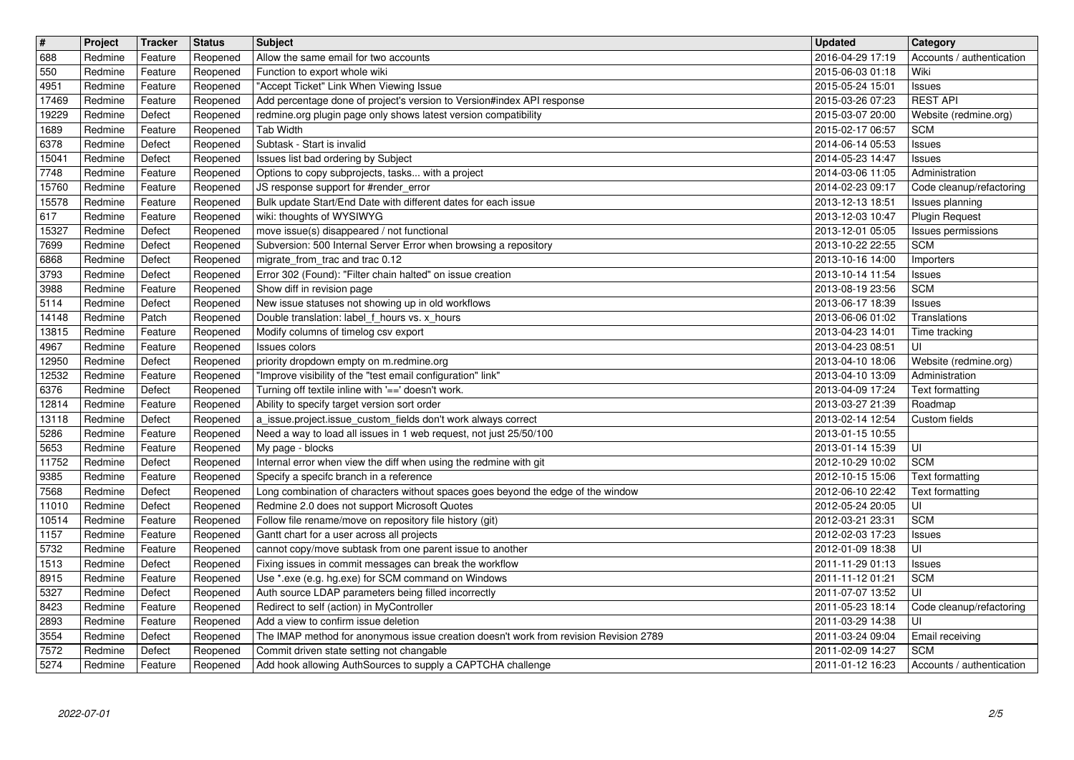| $\boxed{\texttt{#}}$ | Project            | Tracker            | <b>Status</b>        | <b>Subject</b>                                                                                                                      | <b>Updated</b>                       | <b>Category</b>                             |
|----------------------|--------------------|--------------------|----------------------|-------------------------------------------------------------------------------------------------------------------------------------|--------------------------------------|---------------------------------------------|
| 688                  | Redmine            | Feature            | Reopened             | Allow the same email for two accounts                                                                                               | 2016-04-29 17:19                     | Accounts / authentication                   |
| 550<br>4951          | Redmine<br>Redmine | Feature<br>Feature | Reopened<br>Reopened | Function to export whole wiki<br>"Accept Ticket" Link When Viewing Issue                                                            | 2015-06-03 01:18<br>2015-05-24 15:01 | Wiki<br>Issues                              |
| 17469                | Redmine            | Feature            | Reopened             | Add percentage done of project's version to Version#index API response                                                              | 2015-03-26 07:23                     | <b>REST API</b>                             |
| 19229                | Redmine            | Defect             | Reopened             | redmine.org plugin page only shows latest version compatibility                                                                     | 2015-03-07 20:00                     | Website (redmine.org)                       |
| 1689                 | Redmine            | Feature            | Reopened             | <b>Tab Width</b>                                                                                                                    | 2015-02-17 06:57                     | <b>SCM</b>                                  |
| 6378<br>15041        | Redmine<br>Redmine | Defect<br>Defect   | Reopened<br>Reopened | Subtask - Start is invalid<br>Issues list bad ordering by Subject                                                                   | 2014-06-14 05:53<br>2014-05-23 14:47 | Issues<br>Issues                            |
| 7748                 | Redmine            | Feature            | Reopened             | Options to copy subprojects, tasks with a project                                                                                   | 2014-03-06 11:05                     | Administration                              |
| 15760                | Redmine            | Feature            | Reopened             | JS response support for #render_error                                                                                               | 2014-02-23 09:17                     | Code cleanup/refactoring                    |
| 15578                | Redmine            | Feature            | Reopened             | Bulk update Start/End Date with different dates for each issue                                                                      | 2013-12-13 18:51                     | Issues planning                             |
| 617<br>15327         | Redmine<br>Redmine | Feature<br>Defect  | Reopened<br>Reopened | wiki: thoughts of WYSIWYG<br>move issue(s) disappeared / not functional                                                             | 2013-12-03 10:47<br>2013-12-01 05:05 | <b>Plugin Request</b><br>Issues permissions |
| 7699                 | Redmine            | Defect             | Reopened             | Subversion: 500 Internal Server Error when browsing a repository                                                                    | 2013-10-22 22:55                     | <b>SCM</b>                                  |
| 6868                 | Redmine            | Defect             | Reopened             | migrate_from_trac and trac 0.12                                                                                                     | 2013-10-16 14:00                     | Importers                                   |
| 3793<br>3988         | Redmine<br>Redmine | Defect<br>Feature  | Reopened             | Error 302 (Found): "Filter chain halted" on issue creation<br>Show diff in revision page                                            | 2013-10-14 11:54                     | Issues<br><b>SCM</b>                        |
| 5114                 | Redmine            | Defect             | Reopened<br>Reopened | New issue statuses not showing up in old workflows                                                                                  | 2013-08-19 23:56<br>2013-06-17 18:39 | Issues                                      |
| 14148                | Redmine            | Patch              | Reopened             | Double translation: label_f_hours vs. x_hours                                                                                       | 2013-06-06 01:02                     | Translations                                |
| 13815                | Redmine            | Feature            | Reopened             | Modify columns of timelog csv export                                                                                                | 2013-04-23 14:01                     | Time tracking                               |
| 4967<br>12950        | Redmine<br>Redmine | Feature<br>Defect  | Reopened<br>Reopened | Issues colors<br>priority dropdown empty on m.redmine.org                                                                           | 2013-04-23 08:51<br>2013-04-10 18:06 | luı<br>Website (redmine.org)                |
| 12532                | Redmine            | Feature            | Reopened             | "Improve visibility of the "test email configuration" link"                                                                         | 2013-04-10 13:09                     | Administration                              |
| 6376                 | Redmine            | Defect             | Reopened             | Turning off textile inline with '==' doesn't work.                                                                                  | 2013-04-09 17:24                     | Text formatting                             |
| 12814                | Redmine            | Feature            | Reopened             | Ability to specify target version sort order                                                                                        | 2013-03-27 21:39                     | Roadmap                                     |
| 13118<br>5286        | Redmine<br>Redmine | Defect<br>Feature  | Reopened<br>Reopened | a_issue.project.issue_custom_fields don't work always correct<br>Need a way to load all issues in 1 web request, not just 25/50/100 | 2013-02-14 12:54<br>2013-01-15 10:55 | Custom fields                               |
| 5653                 | Redmine            | Feature            | Reopened             | My page - blocks                                                                                                                    | 2013-01-14 15:39                     | UI                                          |
| 11752                | Redmine            | Defect             | Reopened             | Internal error when view the diff when using the redmine with git                                                                   | 2012-10-29 10:02                     | <b>SCM</b>                                  |
| 9385                 | Redmine            | Feature            | Reopened             | Specify a specifc branch in a reference                                                                                             | 2012-10-15 15:06                     | Text formatting                             |
| 7568<br>11010        | Redmine<br>Redmine | Defect<br>Defect   | Reopened<br>Reopened | Long combination of characters without spaces goes beyond the edge of the window<br>Redmine 2.0 does not support Microsoft Quotes   | 2012-06-10 22:42<br>2012-05-24 20:05 | Text formatting<br>luı                      |
| 10514                | Redmine            | Feature            | Reopened             | Follow file rename/move on repository file history (git)                                                                            | 2012-03-21 23:31                     | <b>SCM</b>                                  |
| 1157                 | Redmine            | Feature            | Reopened             | Gantt chart for a user across all projects                                                                                          | 2012-02-03 17:23                     | Issues                                      |
| 5732                 | Redmine            | Feature            | Reopened             | cannot copy/move subtask from one parent issue to another                                                                           | 2012-01-09 18:38                     | UI                                          |
| 1513<br>8915         | Redmine<br>Redmine | Defect<br>Feature  | Reopened<br>Reopened | Fixing issues in commit messages can break the workflow<br>Use *.exe (e.g. hg.exe) for SCM command on Windows                       | 2011-11-29 01:13<br>2011-11-12 01:21 | Issues<br><b>SCM</b>                        |
| 5327                 | Redmine            | Defect             | Reopened             | Auth source LDAP parameters being filled incorrectly                                                                                | 2011-07-07 13:52                     | l UI                                        |
| 8423                 | Redmine            | Feature            |                      | Reopened   Redirect to self (action) in MyController                                                                                | 2011-05-23 18:14                     | Code cleanup/refactoring                    |
| 2893                 | Redmine            | Feature            | Reopened             | Add a view to confirm issue deletion                                                                                                | 2011-03-29 14:38                     | UI                                          |
| 3554<br>7572         | Redmine<br>Redmine | Defect<br>Defect   | Reopened<br>Reopened | The IMAP method for anonymous issue creation doesn't work from revision Revision 2789<br>Commit driven state setting not changable  | 2011-03-24 09:04<br>2011-02-09 14:27 | Email receiving<br><b>SCM</b>               |
| 5274                 | Redmine            | Feature            | Reopened             | Add hook allowing AuthSources to supply a CAPTCHA challenge                                                                         | 2011-01-12 16:23                     | Accounts / authentication                   |
|                      |                    |                    |                      |                                                                                                                                     |                                      |                                             |
|                      |                    |                    |                      |                                                                                                                                     |                                      |                                             |
|                      |                    |                    |                      |                                                                                                                                     |                                      |                                             |
|                      |                    |                    |                      |                                                                                                                                     |                                      |                                             |
|                      |                    |                    |                      |                                                                                                                                     |                                      |                                             |
|                      |                    |                    |                      |                                                                                                                                     |                                      |                                             |
|                      |                    |                    |                      |                                                                                                                                     |                                      |                                             |
|                      |                    |                    |                      |                                                                                                                                     |                                      |                                             |
|                      |                    |                    |                      |                                                                                                                                     |                                      |                                             |
|                      |                    |                    |                      |                                                                                                                                     |                                      |                                             |
|                      |                    |                    |                      |                                                                                                                                     |                                      |                                             |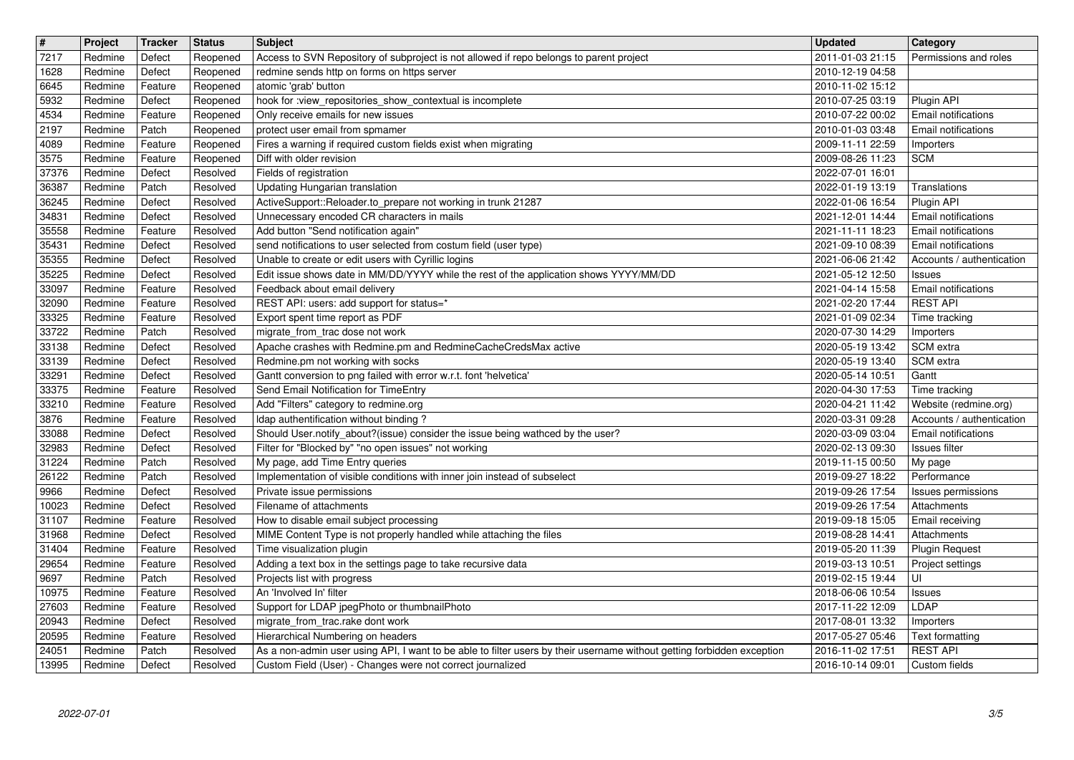| $\boxed{\texttt{#}}$ | Project            | Tracker            | <b>Status</b>        | <b>Subject</b>                                                                                                          | <b>Updated</b>                       | Category                                           |
|----------------------|--------------------|--------------------|----------------------|-------------------------------------------------------------------------------------------------------------------------|--------------------------------------|----------------------------------------------------|
| 7217                 | Redmine            | Defect             | Reopened             | Access to SVN Repository of subproject is not allowed if repo belongs to parent project                                 | 2011-01-03 21:15                     | Permissions and roles                              |
| 1628<br>6645         | Redmine<br>Redmine | Defect<br>Feature  | Reopened<br>Reopened | redmine sends http on forms on https server<br>atomic 'grab' button                                                     | 2010-12-19 04:58<br>2010-11-02 15:12 |                                                    |
| 5932                 | Redmine            | Defect             | Reopened             | hook for :view_repositories_show_contextual is incomplete                                                               | 2010-07-25 03:19                     | Plugin API                                         |
| 4534                 | Redmine            | Feature            | Reopened             | Only receive emails for new issues                                                                                      | 2010-07-22 00:02                     | <b>Email notifications</b>                         |
| 2197                 | Redmine            | Patch              | Reopened             | protect user email from spmamer                                                                                         | 2010-01-03 03:48                     | <b>Email notifications</b>                         |
| 4089<br>3575         | Redmine<br>Redmine | Feature<br>Feature | Reopened<br>Reopened | Fires a warning if required custom fields exist when migrating<br>Diff with older revision                              | 2009-11-11 22:59<br>2009-08-26 11:23 | Importers<br>SCM                                   |
| 37376                | Redmine            | Defect             | Resolved             | Fields of registration                                                                                                  | 2022-07-01 16:01                     |                                                    |
| 36387                | Redmine            | Patch              | Resolved             | <b>Updating Hungarian translation</b>                                                                                   | 2022-01-19 13:19                     | Translations                                       |
| 36245                | Redmine            | Defect             | Resolved             | ActiveSupport::Reloader.to_prepare not working in trunk 21287<br>Unnecessary encoded CR characters in mails             | 2022-01-06 16:54                     | Plugin API                                         |
| 34831<br>35558       | Redmine<br>Redmine | Defect<br>Feature  | Resolved<br>Resolved | Add button "Send notification again"                                                                                    | 2021-12-01 14:44<br>2021-11-11 18:23 | Email notifications<br><b>Email notifications</b>  |
| 35431                | Redmine            | Defect             | Resolved             | send notifications to user selected from costum field (user type)                                                       | 2021-09-10 08:39                     | <b>Email notifications</b>                         |
| 35355                | Redmine            | Defect             | Resolved             | Unable to create or edit users with Cyrillic logins                                                                     | 2021-06-06 21:42                     | Accounts / authentication                          |
| 35225<br>33097       | Redmine<br>Redmine | Defect<br>Feature  | Resolved<br>Resolved | Edit issue shows date in MM/DD/YYYY while the rest of the application shows YYYY/MM/DD<br>Feedback about email delivery | 2021-05-12 12:50<br>2021-04-14 15:58 | <b>Issues</b><br><b>Email notifications</b>        |
| 32090                | Redmine            | Feature            | Resolved             | REST API: users: add support for status=*                                                                               | 2021-02-20 17:44                     | <b>REST API</b>                                    |
| 33325                | Redmine            | Feature            | Resolved             | Export spent time report as PDF                                                                                         | 2021-01-09 02:34                     | Time tracking                                      |
| 33722                | Redmine            | Patch              | Resolved             | migrate_from_trac dose not work                                                                                         | 2020-07-30 14:29                     | Importers                                          |
| 33138<br>33139       | Redmine<br>Redmine | Defect<br>Defect   | Resolved<br>Resolved | Apache crashes with Redmine.pm and RedmineCacheCredsMax active<br>Redmine.pm not working with socks                     | 2020-05-19 13:42<br>2020-05-19 13:40 | SCM extra<br>SCM extra                             |
| 33291                | Redmine            | Defect             | Resolved             | Gantt conversion to png failed with error w.r.t. font 'helvetica'                                                       | 2020-05-14 10:51                     | Gantt                                              |
| 33375                | Redmine            | Feature            | Resolved             | Send Email Notification for TimeEntry                                                                                   | 2020-04-30 17:53                     | Time tracking                                      |
| 33210                | Redmine            | Feature            | Resolved             | Add "Filters" category to redmine.org<br>Idap authentification without binding?                                         | 2020-04-21 11:42                     | Website (redmine.org)<br>Accounts / authentication |
| 3876<br>33088        | Redmine<br>Redmine | Feature<br>Defect  | Resolved<br>Resolved | Should User.notify_about?(issue) consider the issue being wathced by the user?                                          | 2020-03-31 09:28<br>2020-03-09 03:04 | Email notifications                                |
| 32983                | Redmine            | Defect             | Resolved             | Filter for "Blocked by" "no open issues" not working                                                                    | 2020-02-13 09:30                     | Issues filter                                      |
| 31224                | Redmine            | Patch              | Resolved             | My page, add Time Entry queries                                                                                         | 2019-11-15 00:50                     | My page                                            |
| 26122<br>9966        | Redmine<br>Redmine | Patch<br>Defect    | Resolved<br>Resolved | Implementation of visible conditions with inner join instead of subselect<br>Private issue permissions                  | 2019-09-27 18:22<br>2019-09-26 17:54 | Performance                                        |
| 10023                | Redmine            | Defect             | Resolved             | Filename of attachments                                                                                                 | 2019-09-26 17:54                     | Issues permissions<br>Attachments                  |
| 31107                | Redmine            | Feature            | Resolved             | How to disable email subject processing                                                                                 | 2019-09-18 15:05                     | Email receiving                                    |
| 31968                | Redmine            | Defect             | Resolved             | MIME Content Type is not properly handled while attaching the files                                                     | 2019-08-28 14:41                     | Attachments                                        |
| 31404<br>29654       | Redmine<br>Redmine | Feature<br>Feature | Resolved<br>Resolved | Time visualization plugin<br>Adding a text box in the settings page to take recursive data                              | 2019-05-20 11:39<br>2019-03-13 10:51 | <b>Plugin Request</b><br>Project settings          |
| 9697                 | Redmine            | Patch              | Resolved             | Projects list with progress                                                                                             | 2019-02-15 19:44                     | UI                                                 |
| 10975                | Redmine            | Feature            | Resolved             | An 'Involved In' filter                                                                                                 | 2018-06-06 10:54                     | Issues                                             |
| 27603                | Redmine            | Feature            | Resolved             | Support for LDAP jpegPhoto or thumbnailPhoto                                                                            | 2017-11-22 12:09 LDAP                |                                                    |
| 20943<br>20595       | Redmine<br>Redmine | Defect<br>Feature  | Resolved<br>Resolved | migrate_from_trac.rake dont work<br>Hierarchical Numbering on headers                                                   | 2017-08-01 13:32<br>2017-05-27 05:46 | Importers<br>Text formatting                       |
| 24051                | Redmine            | Patch              | Resolved             | As a non-admin user using API, I want to be able to filter users by their username without getting forbidden exception  | 2016-11-02 17:51                     | <b>REST API</b>                                    |
|                      |                    |                    |                      |                                                                                                                         |                                      |                                                    |
|                      |                    |                    |                      |                                                                                                                         |                                      |                                                    |
|                      |                    |                    |                      |                                                                                                                         |                                      |                                                    |
|                      |                    |                    |                      |                                                                                                                         |                                      |                                                    |
|                      |                    |                    |                      |                                                                                                                         |                                      |                                                    |
|                      |                    |                    |                      |                                                                                                                         |                                      |                                                    |
|                      |                    |                    |                      |                                                                                                                         |                                      |                                                    |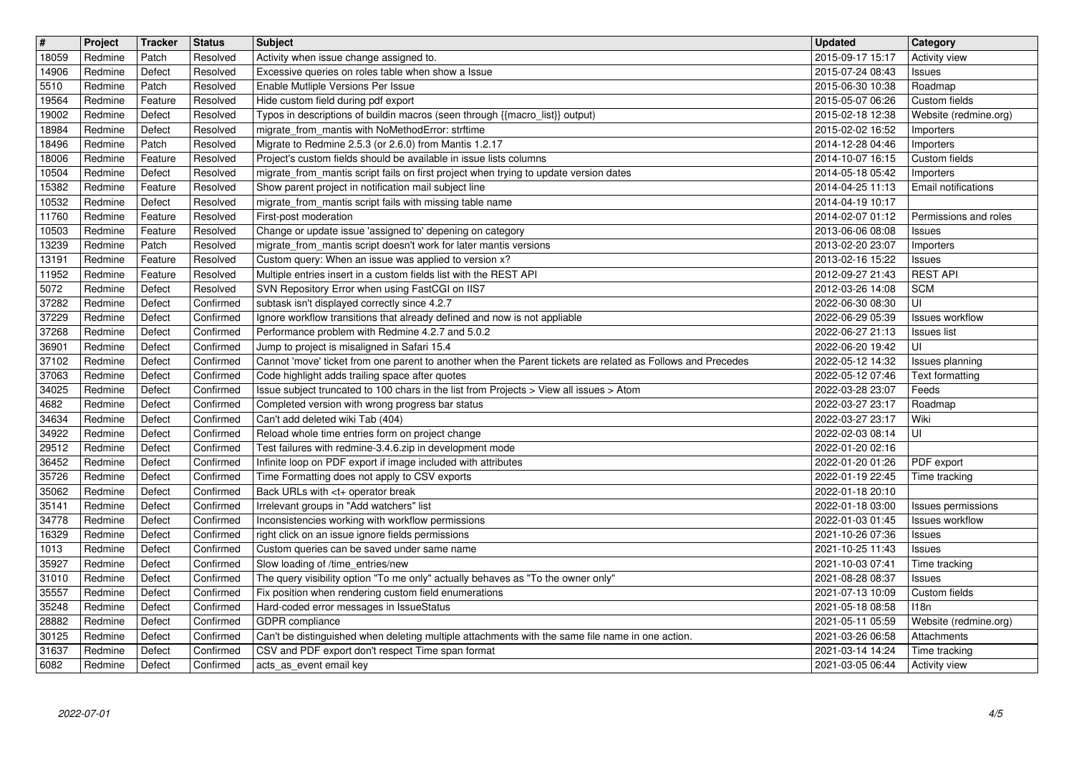| $\boxed{\texttt{#}}$ | Project            | Tracker          | <b>Status</b>          | <b>Subject</b>                                                                                                                 | <b>Updated</b>                              | <b>Category</b>                              |
|----------------------|--------------------|------------------|------------------------|--------------------------------------------------------------------------------------------------------------------------------|---------------------------------------------|----------------------------------------------|
| 18059                | Redmine            | Patch            | Resolved               | Activity when issue change assigned to.                                                                                        | 2015-09-17 15:17                            | <b>Activity view</b>                         |
| 14906<br>5510        | Redmine<br>Redmine | Defect<br>Patch  | Resolved<br>Resolved   | Excessive queries on roles table when show a Issue<br>Enable Mutliple Versions Per Issue                                       | 2015-07-24 08:43<br>2015-06-30 10:38        | Issues<br>Roadmap                            |
| 19564                | Redmine            | Feature          | Resolved               | Hide custom field during pdf export                                                                                            | 2015-05-07 06:26                            | Custom fields                                |
| 19002                | Redmine            | Defect           | Resolved               | Typos in descriptions of buildin macros (seen through {{macro_list}} output)                                                   | 2015-02-18 12:38                            | Website (redmine.org)                        |
| 18984                | Redmine            | Defect           | Resolved               | migrate_from_mantis with NoMethodError: strftime                                                                               | 2015-02-02 16:52                            | Importers                                    |
| 18496<br>18006       | Redmine<br>Redmine | Patch<br>Feature | Resolved<br>Resolved   | Migrate to Redmine 2.5.3 (or 2.6.0) from Mantis 1.2.17<br>Project's custom fields should be available in issue lists columns   | 2014-12-28 04:46<br>2014-10-07 16:15        | Importers<br>Custom fields                   |
| 10504                | Redmine            | Defect           | Resolved               | migrate_from_mantis script fails on first project when trying to update version dates                                          | 2014-05-18 05:42                            | Importers                                    |
| 15382                | Redmine            | Feature          | Resolved               | Show parent project in notification mail subject line                                                                          | 2014-04-25 11:13                            | Email notifications                          |
| 10532                | Redmine            | Defect           | Resolved               | migrate_from_mantis script fails with missing table name                                                                       | 2014-04-19 10:17                            |                                              |
| 11760                | Redmine            | Feature          | Resolved               | First-post moderation                                                                                                          | 2014-02-07 01:12                            | Permissions and roles                        |
| 10503<br>13239       | Redmine<br>Redmine | Feature<br>Patch | Resolved<br>Resolved   | Change or update issue 'assigned to' depening on category<br>migrate_from_mantis script doesn't work for later mantis versions | 2013-06-06 08:08<br>2013-02-20 23:07        | <b>Issues</b><br>Importers                   |
| 13191                | Redmine            | Feature          | Resolved               | Custom query: When an issue was applied to version x?                                                                          | 2013-02-16 15:22                            | Issues                                       |
| 11952                | Redmine            | Feature          | Resolved               | Multiple entries insert in a custom fields list with the REST API                                                              | 2012-09-27 21:43                            | <b>REST API</b>                              |
| 5072                 | Redmine            | Defect           | Resolved               | SVN Repository Error when using FastCGI on IIS7                                                                                | 2012-03-26 14:08                            | <b>SCM</b>                                   |
| 37282                | Redmine            | Defect           | Confirmed              | subtask isn't displayed correctly since 4.2.7                                                                                  | 2022-06-30 08:30                            | UI                                           |
| 37229<br>37268       | Redmine<br>Redmine | Defect<br>Defect | Confirmed<br>Confirmed | Ignore workflow transitions that already defined and now is not appliable<br>Performance problem with Redmine 4.2.7 and 5.0.2  | 2022-06-29 05:39<br>2022-06-27 21:13        | Issues workflow<br><b>Issues list</b>        |
| 36901                | Redmine            | Defect           | Confirmed              | Jump to project is misaligned in Safari 15.4                                                                                   | 2022-06-20 19:42                            | UI                                           |
| 37102                | Redmine            | Defect           | Confirmed              | Cannot 'move' ticket from one parent to another when the Parent tickets are related as Follows and Precedes                    | 2022-05-12 14:32                            | Issues planning                              |
| 37063                | Redmine            | Defect           | Confirmed              | Code highlight adds trailing space after quotes                                                                                | 2022-05-12 07:46                            | Text formatting                              |
| 34025                | Redmine            | Defect           | Confirmed              | Issue subject truncated to 100 chars in the list from Projects > View all issues > Atom                                        | 2022-03-28 23:07                            | Feeds                                        |
| 4682<br>34634        | Redmine<br>Redmine | Defect<br>Defect | Confirmed<br>Confirmed | Completed version with wrong progress bar status<br>Can't add deleted wiki Tab (404)                                           | 2022-03-27 23:17<br>2022-03-27 23:17        | Roadmap<br>Wiki                              |
| 34922                | Redmine            | Defect           | Confirmed              | Reload whole time entries form on project change                                                                               | 2022-02-03 08:14                            | UI                                           |
| 29512                | Redmine            | Defect           | Confirmed              | Test failures with redmine-3.4.6.zip in development mode                                                                       | 2022-01-20 02:16                            |                                              |
| 36452                | Redmine            | Defect           | Confirmed              | Infinite loop on PDF export if image included with attributes                                                                  | 2022-01-20 01:26                            | PDF export                                   |
| 35726                | Redmine            | Defect           | Confirmed              | Time Formatting does not apply to CSV exports                                                                                  | 2022-01-19 22:45                            | Time tracking                                |
| 35062                | Redmine<br>Redmine | Defect<br>Defect | Confirmed<br>Confirmed | Back URLs with <t+ break<br="" operator="">Irrelevant groups in "Add watchers" list</t+>                                       | 2022-01-18 20:10<br>2022-01-18 03:00        |                                              |
| 35141<br>34778       | Redmine            | Defect           | Confirmed              | Inconsistencies working with workflow permissions                                                                              | 2022-01-03 01:45                            | Issues permissions<br><b>Issues workflow</b> |
| 16329                | Redmine            | Defect           | Confirmed              | right click on an issue ignore fields permissions                                                                              | 2021-10-26 07:36                            | Issues                                       |
| 1013                 | Redmine            | Defect           | Confirmed              | Custom queries can be saved under same name                                                                                    | 2021-10-25 11:43                            | Issues                                       |
| 35927                | Redmine            | Defect           | Confirmed              | Slow loading of /time_entries/new                                                                                              | 2021-10-03 07:41                            | Time tracking                                |
| 31010                | Redmine            | Defect           | Confirmed              | The query visibility option "To me only" actually behaves as "To the owner only"                                               | 2021-08-28 08:37                            | Issues                                       |
| 35557<br>35248       | Redmine<br>Redmine | Defect<br>Defect | Confirmed<br>Confirmed | Fix position when rendering custom field enumerations<br>Hard-coded error messages in IssueStatus                              | 2021-07-13 10:09<br>2021-05-18 08:58   I18n | Custom fields                                |
| 28882                | Redmine            | Defect           | Confirmed              | <b>GDPR</b> compliance                                                                                                         | 2021-05-11 05:59                            | Website (redmine.org)                        |
| 30125                | Redmine            | Defect           | Confirmed              | Can't be distinguished when deleting multiple attachments with the same file name in one action.                               | 2021-03-26 06:58                            | Attachments                                  |
| 31637<br>6082        | Redmine<br>Redmine | Defect<br>Defect | Confirmed<br>Confirmed | CSV and PDF export don't respect Time span format<br>acts_as_event email key                                                   | 2021-03-14 14:24<br>2021-03-05 06:44        | Time tracking<br>Activity view               |
|                      |                    |                  |                        |                                                                                                                                |                                             |                                              |
|                      |                    |                  |                        |                                                                                                                                |                                             |                                              |
|                      |                    |                  |                        |                                                                                                                                |                                             |                                              |
|                      |                    |                  |                        |                                                                                                                                |                                             |                                              |
|                      |                    |                  |                        |                                                                                                                                |                                             |                                              |
|                      |                    |                  |                        |                                                                                                                                |                                             |                                              |
|                      |                    |                  |                        |                                                                                                                                |                                             |                                              |
|                      |                    |                  |                        |                                                                                                                                |                                             |                                              |
|                      |                    |                  |                        |                                                                                                                                |                                             |                                              |
|                      |                    |                  |                        |                                                                                                                                |                                             |                                              |
|                      |                    |                  |                        |                                                                                                                                |                                             |                                              |
|                      |                    |                  |                        |                                                                                                                                |                                             |                                              |
|                      |                    |                  |                        |                                                                                                                                |                                             |                                              |
|                      |                    |                  |                        |                                                                                                                                |                                             |                                              |
|                      |                    |                  |                        |                                                                                                                                |                                             |                                              |
|                      |                    |                  |                        |                                                                                                                                |                                             |                                              |
|                      |                    |                  |                        |                                                                                                                                |                                             |                                              |
|                      |                    |                  |                        |                                                                                                                                |                                             |                                              |
|                      |                    |                  |                        |                                                                                                                                |                                             |                                              |
|                      |                    |                  |                        |                                                                                                                                |                                             |                                              |
|                      |                    |                  |                        |                                                                                                                                |                                             |                                              |
|                      |                    |                  |                        |                                                                                                                                |                                             |                                              |
|                      |                    |                  |                        |                                                                                                                                |                                             |                                              |
|                      |                    |                  |                        |                                                                                                                                |                                             |                                              |
|                      |                    |                  |                        |                                                                                                                                |                                             |                                              |